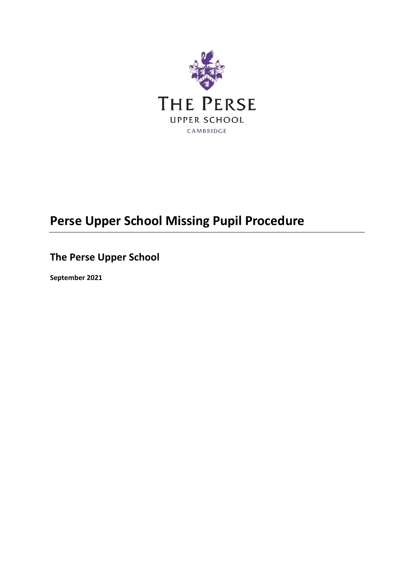

# **Perse Upper School Missing Pupil Procedure**

## **The Perse Upper School**

**September 2021**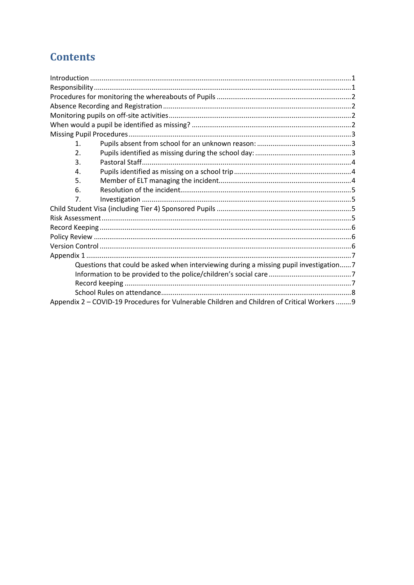## **Contents**

| 1 <sub>1</sub>                                                                              |  |  |  |  |  |
|---------------------------------------------------------------------------------------------|--|--|--|--|--|
| 2.                                                                                          |  |  |  |  |  |
| 3.                                                                                          |  |  |  |  |  |
| 4.                                                                                          |  |  |  |  |  |
| 5.                                                                                          |  |  |  |  |  |
| 6.                                                                                          |  |  |  |  |  |
| 7.                                                                                          |  |  |  |  |  |
|                                                                                             |  |  |  |  |  |
|                                                                                             |  |  |  |  |  |
|                                                                                             |  |  |  |  |  |
|                                                                                             |  |  |  |  |  |
|                                                                                             |  |  |  |  |  |
|                                                                                             |  |  |  |  |  |
| Questions that could be asked when interviewing during a missing pupil investigation7       |  |  |  |  |  |
|                                                                                             |  |  |  |  |  |
|                                                                                             |  |  |  |  |  |
|                                                                                             |  |  |  |  |  |
| Appendix 2 - COVID-19 Procedures for Vulnerable Children and Children of Critical Workers 9 |  |  |  |  |  |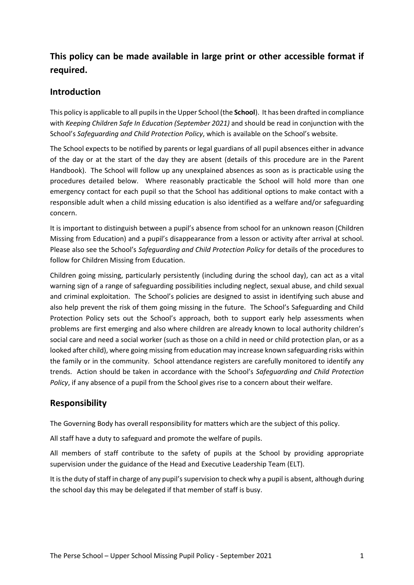## <span id="page-2-0"></span>**This policy can be made available in large print or other accessible format if required.**

## **Introduction**

This policy is applicable to all pupils in the Upper School (the **School**). It has been drafted in compliance with *Keeping Children Safe In Education (September 2021)* and should be read in conjunction with the School's *Safeguarding and Child Protection Policy*, which is available on the School's website.

The School expects to be notified by parents or legal guardians of all pupil absences either in advance of the day or at the start of the day they are absent (details of this procedure are in the Parent Handbook). The School will follow up any unexplained absences as soon as is practicable using the procedures detailed below. Where reasonably practicable the School will hold more than one emergency contact for each pupil so that the School has additional options to make contact with a responsible adult when a child missing education is also identified as a welfare and/or safeguarding concern.

It is important to distinguish between a pupil's absence from school for an unknown reason (Children Missing from Education) and a pupil's disappearance from a lesson or activity after arrival at school. Please also see the School's *Safeguarding and Child Protection Policy* for details of the procedures to follow for Children Missing from Education.

Children going missing, particularly persistently (including during the school day), can act as a vital warning sign of a range of safeguarding possibilities including neglect, sexual abuse, and child sexual and criminal exploitation. The School's policies are designed to assist in identifying such abuse and also help prevent the risk of them going missing in the future. The School's Safeguarding and Child Protection Policy sets out the School's approach, both to support early help assessments when problems are first emerging and also where children are already known to local authority children's social care and need a social worker (such as those on a child in need or child protection plan, or as a looked after child), where going missing from education may increase known safeguarding risks within the family or in the community. School attendance registers are carefully monitored to identify any trends. Action should be taken in accordance with the School's *Safeguarding and Child Protection Policy*, if any absence of a pupil from the School gives rise to a concern about their welfare.

## <span id="page-2-1"></span>**Responsibility**

The Governing Body has overall responsibility for matters which are the subject of this policy.

All staff have a duty to safeguard and promote the welfare of pupils.

All members of staff contribute to the safety of pupils at the School by providing appropriate supervision under the guidance of the Head and Executive Leadership Team (ELT).

It is the duty of staff in charge of any pupil's supervision to check why a pupil is absent, although during the school day this may be delegated if that member of staff is busy.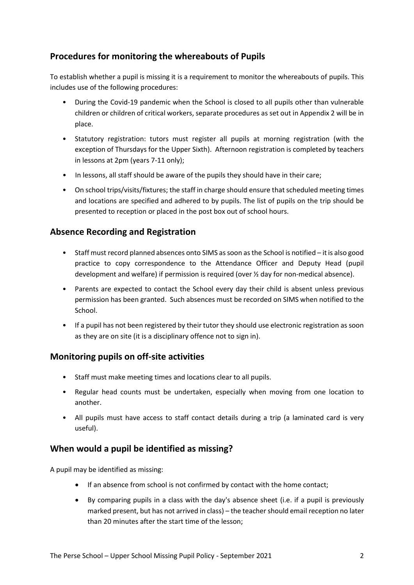## <span id="page-3-0"></span>**Procedures for monitoring the whereabouts of Pupils**

To establish whether a pupil is missing it is a requirement to monitor the whereabouts of pupils. This includes use of the following procedures:

- During the Covid-19 pandemic when the School is closed to all pupils other than vulnerable children or children of critical workers, separate procedures as set out in Appendix 2 will be in place.
- Statutory registration: tutors must register all pupils at morning registration (with the exception of Thursdays for the Upper Sixth). Afternoon registration is completed by teachers in lessons at 2pm (years 7-11 only);
- In lessons, all staff should be aware of the pupils they should have in their care;
- On school trips/visits/fixtures; the staff in charge should ensure that scheduled meeting times and locations are specified and adhered to by pupils. The list of pupils on the trip should be presented to reception or placed in the post box out of school hours.

## <span id="page-3-1"></span>**Absence Recording and Registration**

- Staff must record planned absences onto SIMS as soon as the School is notified it is also good practice to copy correspondence to the Attendance Officer and Deputy Head (pupil development and welfare) if permission is required (over ½ day for non-medical absence).
- Parents are expected to contact the School every day their child is absent unless previous permission has been granted. Such absences must be recorded on SIMS when notified to the School.
- If a pupil has not been registered by their tutor they should use electronic registration as soon as they are on site (it is a disciplinary offence not to sign in).

## <span id="page-3-2"></span>**Monitoring pupils on off-site activities**

- Staff must make meeting times and locations clear to all pupils.
- Regular head counts must be undertaken, especially when moving from one location to another.
- All pupils must have access to staff contact details during a trip (a laminated card is very useful).

## <span id="page-3-3"></span>**When would a pupil be identified as missing?**

A pupil may be identified as missing:

- If an absence from school is not confirmed by contact with the home contact;
- By comparing pupils in a class with the day's absence sheet (i.e. if a pupil is previously marked present, but has not arrived in class) – the teacher should email reception no later than 20 minutes after the start time of the lesson;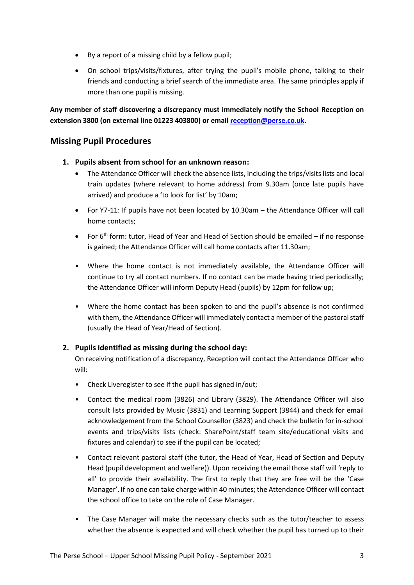- By a report of a missing child by a fellow pupil;
- On school trips/visits/fixtures, after trying the pupil's mobile phone, talking to their friends and conducting a brief search of the immediate area. The same principles apply if more than one pupil is missing.

**Any member of staff discovering a discrepancy must immediately notify the School Reception on extension 3800 (on external line 01223 403800) or email [reception@perse.co.uk.](mailto:reception@perse.co.uk)** 

### <span id="page-4-0"></span>**Missing Pupil Procedures**

- <span id="page-4-1"></span>**1. Pupils absent from school for an unknown reason:**
	- The Attendance Officer will check the absence lists, including the trips/visits lists and local train updates (where relevant to home address) from 9.30am (once late pupils have arrived) and produce a 'to look for list' by 10am;
	- For Y7-11: If pupils have not been located by 10.30am the Attendance Officer will call home contacts;
	- For 6th form: tutor, Head of Year and Head of Section should be emailed if no response is gained; the Attendance Officer will call home contacts after 11.30am;
	- Where the home contact is not immediately available, the Attendance Officer will continue to try all contact numbers. If no contact can be made having tried periodically; the Attendance Officer will inform Deputy Head (pupils) by 12pm for follow up;
	- Where the home contact has been spoken to and the pupil's absence is not confirmed with them, the Attendance Officer will immediately contact a member of the pastoral staff (usually the Head of Year/Head of Section).

#### <span id="page-4-2"></span>**2. Pupils identified as missing during the school day:**

On receiving notification of a discrepancy, Reception will contact the Attendance Officer who will:

- Check Liveregister to see if the pupil has signed in/out;
- Contact the medical room (3826) and Library (3829). The Attendance Officer will also consult lists provided by Music (3831) and Learning Support (3844) and check for email acknowledgement from the School Counsellor (3823) and check the bulletin for in-school events and trips/visits lists (check: SharePoint/staff team site/educational visits and fixtures and calendar) to see if the pupil can be located;
- Contact relevant pastoral staff (the tutor, the Head of Year, Head of Section and Deputy Head (pupil development and welfare)). Upon receiving the email those staff will 'reply to all' to provide their availability. The first to reply that they are free will be the 'Case Manager'. If no one can take charge within 40 minutes; the Attendance Officer will contact the school office to take on the role of Case Manager.
- The Case Manager will make the necessary checks such as the tutor/teacher to assess whether the absence is expected and will check whether the pupil has turned up to their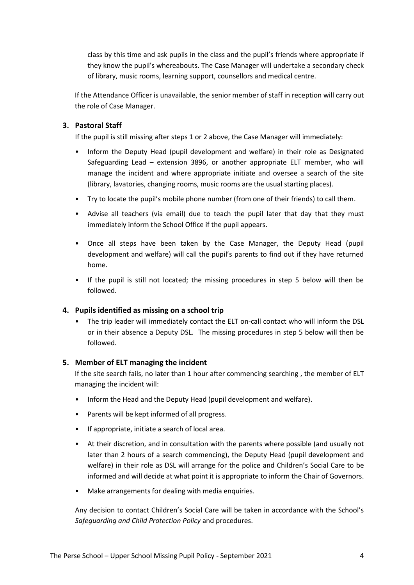class by this time and ask pupils in the class and the pupil's friends where appropriate if they know the pupil's whereabouts. The Case Manager will undertake a secondary check of library, music rooms, learning support, counsellors and medical centre.

If the Attendance Officer is unavailable, the senior member of staff in reception will carry out the role of Case Manager.

#### <span id="page-5-0"></span>**3. Pastoral Staff**

If the pupil is still missing after steps 1 or 2 above, the Case Manager will immediately:

- Inform the Deputy Head (pupil development and welfare) in their role as Designated Safeguarding Lead – extension 3896, or another appropriate ELT member, who will manage the incident and where appropriate initiate and oversee a search of the site (library, lavatories, changing rooms, music rooms are the usual starting places).
- Try to locate the pupil's mobile phone number (from one of their friends) to call them.
- Advise all teachers (via email) due to teach the pupil later that day that they must immediately inform the School Office if the pupil appears.
- Once all steps have been taken by the Case Manager, the Deputy Head (pupil development and welfare) will call the pupil's parents to find out if they have returned home.
- If the pupil is still not located; the missing procedures in step 5 below will then be followed.

#### <span id="page-5-1"></span>**4. Pupils identified as missing on a school trip**

• The trip leader will immediately contact the ELT on-call contact who will inform the DSL or in their absence a Deputy DSL. The missing procedures in step 5 below will then be followed.

#### <span id="page-5-2"></span>**5. Member of ELT managing the incident**

If the site search fails, no later than 1 hour after commencing searching , the member of ELT managing the incident will:

- Inform the Head and the Deputy Head (pupil development and welfare).
- Parents will be kept informed of all progress.
- If appropriate, initiate a search of local area.
- At their discretion, and in consultation with the parents where possible (and usually not later than 2 hours of a search commencing), the Deputy Head (pupil development and welfare) in their role as DSL will arrange for the police and Children's Social Care to be informed and will decide at what point it is appropriate to inform the Chair of Governors.
- Make arrangements for dealing with media enquiries.

Any decision to contact Children's Social Care will be taken in accordance with the School's *Safeguarding and Child Protection Policy* and procedures.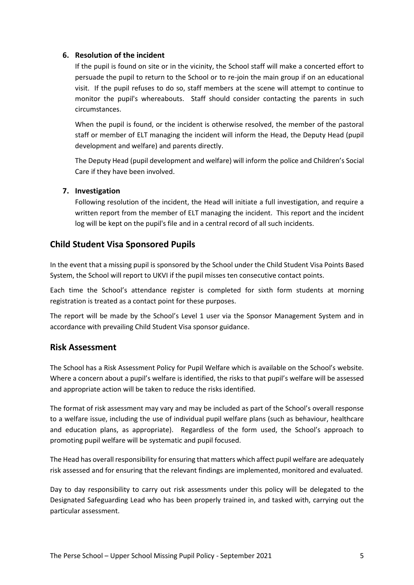#### <span id="page-6-0"></span>**6. Resolution of the incident**

If the pupil is found on site or in the vicinity, the School staff will make a concerted effort to persuade the pupil to return to the School or to re-join the main group if on an educational visit. If the pupil refuses to do so, staff members at the scene will attempt to continue to monitor the pupil's whereabouts. Staff should consider contacting the parents in such circumstances.

When the pupil is found, or the incident is otherwise resolved, the member of the pastoral staff or member of ELT managing the incident will inform the Head, the Deputy Head (pupil development and welfare) and parents directly.

The Deputy Head (pupil development and welfare) will inform the police and Children's Social Care if they have been involved.

#### <span id="page-6-1"></span>**7. Investigation**

Following resolution of the incident, the Head will initiate a full investigation, and require a written report from the member of ELT managing the incident. This report and the incident log will be kept on the pupil's file and in a central record of all such incidents.

#### <span id="page-6-2"></span>**Child Student Visa Sponsored Pupils**

In the event that a missing pupil is sponsored by the School under the Child Student Visa Points Based System, the School will report to UKVI if the pupil misses ten consecutive contact points.

Each time the School's attendance register is completed for sixth form students at morning registration is treated as a contact point for these purposes.

The report will be made by the School's Level 1 user via the Sponsor Management System and in accordance with prevailing Child Student Visa sponsor guidance.

#### <span id="page-6-3"></span>**Risk Assessment**

The School has a Risk Assessment Policy for Pupil Welfare which is available on the School's website. Where a concern about a pupil's welfare is identified, the risks to that pupil's welfare will be assessed and appropriate action will be taken to reduce the risks identified.

The format of risk assessment may vary and may be included as part of the School's overall response to a welfare issue, including the use of individual pupil welfare plans (such as behaviour, healthcare and education plans, as appropriate). Regardless of the form used, the School's approach to promoting pupil welfare will be systematic and pupil focused.

The Head has overall responsibility for ensuring that matters which affect pupil welfare are adequately risk assessed and for ensuring that the relevant findings are implemented, monitored and evaluated.

Day to day responsibility to carry out risk assessments under this policy will be delegated to the Designated Safeguarding Lead who has been properly trained in, and tasked with, carrying out the particular assessment.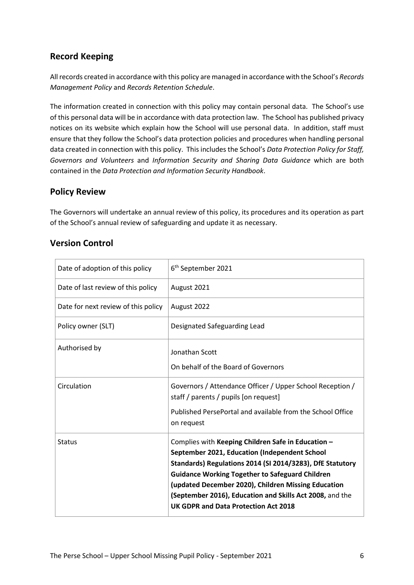## <span id="page-7-0"></span>**Record Keeping**

All records created in accordance with this policy are managed in accordance with the School's *Records Management Policy* and *Records Retention Schedule*.

The information created in connection with this policy may contain personal data. The School's use of this personal data will be in accordance with data protection law. The School has published privacy notices on its website which explain how the School will use personal data. In addition, staff must ensure that they follow the School's data protection policies and procedures when handling personal data created in connection with this policy. This includes the School's *Data Protection Policy for Staff, Governors and Volunteers* and *Information Security and Sharing Data Guidance* which are both contained in the *Data Protection and Information Security Handbook*.

## <span id="page-7-1"></span>**Policy Review**

The Governors will undertake an annual review of this policy, its procedures and its operation as part of the School's annual review of safeguarding and update it as necessary.

| Date of adoption of this policy     | 6 <sup>th</sup> September 2021                                                                                                                                                                                                                                                                                                                                                        |  |  |
|-------------------------------------|---------------------------------------------------------------------------------------------------------------------------------------------------------------------------------------------------------------------------------------------------------------------------------------------------------------------------------------------------------------------------------------|--|--|
| Date of last review of this policy  | August 2021                                                                                                                                                                                                                                                                                                                                                                           |  |  |
| Date for next review of this policy | August 2022                                                                                                                                                                                                                                                                                                                                                                           |  |  |
| Policy owner (SLT)                  | Designated Safeguarding Lead                                                                                                                                                                                                                                                                                                                                                          |  |  |
| Authorised by                       | Jonathan Scott                                                                                                                                                                                                                                                                                                                                                                        |  |  |
|                                     | On behalf of the Board of Governors                                                                                                                                                                                                                                                                                                                                                   |  |  |
| Circulation                         | Governors / Attendance Officer / Upper School Reception /<br>staff / parents / pupils [on request]                                                                                                                                                                                                                                                                                    |  |  |
|                                     | Published PersePortal and available from the School Office<br>on request                                                                                                                                                                                                                                                                                                              |  |  |
| <b>Status</b>                       | Complies with Keeping Children Safe in Education -<br>September 2021, Education (Independent School<br>Standards) Regulations 2014 (SI 2014/3283), DfE Statutory<br><b>Guidance Working Together to Safeguard Children</b><br>(updated December 2020), Children Missing Education<br>(September 2016), Education and Skills Act 2008, and the<br>UK GDPR and Data Protection Act 2018 |  |  |

## <span id="page-7-2"></span>**Version Control**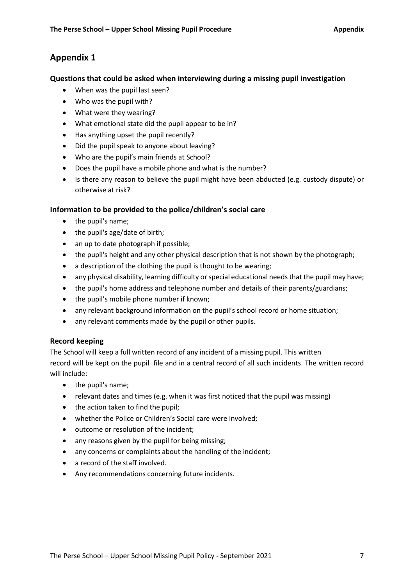## <span id="page-8-0"></span>**Appendix 1**

#### <span id="page-8-1"></span>**Questions that could be asked when interviewing during a missing pupil investigation**

- When was the pupil last seen?
- Who was the pupil with?
- What were they wearing?
- What emotional state did the pupil appear to be in?
- Has anything upset the pupil recently?
- Did the pupil speak to anyone about leaving?
- Who are the pupil's main friends at School?
- Does the pupil have a mobile phone and what is the number?
- Is there any reason to believe the pupil might have been abducted (e.g. custody dispute) or otherwise at risk?

#### <span id="page-8-2"></span>**Information to be provided to the police/children's social care**

- the pupil's name;
- the pupil's age/date of birth;
- an up to date photograph if possible;
- the pupil's height and any other physical description that is not shown by the photograph;
- a description of the clothing the pupil is thought to be wearing;
- any physical disability, learning difficulty or special educational needs that the pupil may have;
- the pupil's home address and telephone number and details of their parents/guardians;
- the pupil's mobile phone number if known;
- any relevant background information on the pupil's school record or home situation;
- any relevant comments made by the pupil or other pupils.

#### <span id="page-8-3"></span>**Record keeping**

The School will keep a full written record of any incident of a missing pupil. This written record will be kept on the pupil file and in a central record of all such incidents. The written record will include:

- the pupil's name;
- relevant dates and times (e.g. when it was first noticed that the pupil was missing)
- the action taken to find the pupil;
- whether the Police or Children's Social care were involved;
- outcome or resolution of the incident;
- any reasons given by the pupil for being missing;
- any concerns or complaints about the handling of the incident;
- a record of the staff involved.
- Any recommendations concerning future incidents.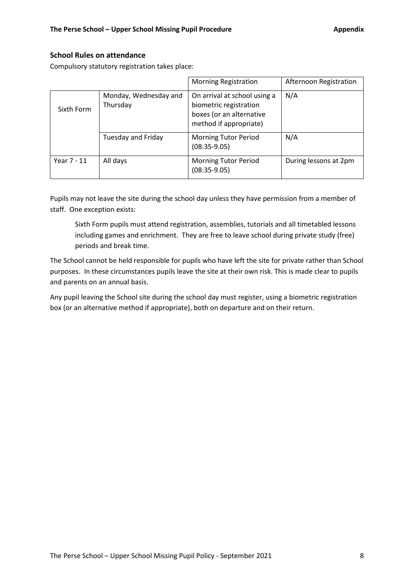#### <span id="page-9-0"></span>**School Rules on attendance**

Compulsory statutory registration takes place:

|             |                                   | <b>Morning Registration</b>                                                                                  | Afternoon Registration |
|-------------|-----------------------------------|--------------------------------------------------------------------------------------------------------------|------------------------|
| Sixth Form  | Monday, Wednesday and<br>Thursday | On arrival at school using a<br>biometric registration<br>boxes (or an alternative<br>method if appropriate) | N/A                    |
|             | Tuesday and Friday                | <b>Morning Tutor Period</b><br>$(08:35-9.05)$                                                                | N/A                    |
| Year 7 - 11 | All days                          | <b>Morning Tutor Period</b><br>$(08:35-9.05)$                                                                | During lessons at 2pm  |

Pupils may not leave the site during the school day unless they have permission from a member of staff. One exception exists:

Sixth Form pupils must attend registration, assemblies, tutorials and all timetabled lessons including games and enrichment. They are free to leave school during private study (free) periods and break time.

The School cannot be held responsible for pupils who have left the site for private rather than School purposes. In these circumstances pupils leave the site at their own risk. This is made clear to pupils and parents on an annual basis.

Any pupil leaving the School site during the school day must register, using a biometric registration box (or an alternative method if appropriate), both on departure and on their return.